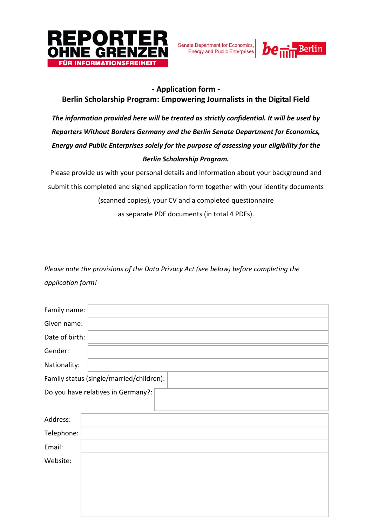

Senate Department for Economics, Energy and Public Enterprises



## **- Application form -**

# **Berlin Scholarship Program: Empowering Journalists in the Digital Field**

*The information provided here will be treated as strictly confidential. It will be used by Reporters Without Borders Germany and the Berlin Senate Department for Economics, Energy and Public Enterprises solely for the purpose of assessing your eligibility for the Berlin Scholarship Program.* 

Please provide us with your personal details and information about your background and submit this completed and signed application form together with your identity documents (scanned copies), your CV and a completed questionnaire as separate PDF documents (in total 4 PDFs).

*Please note the provisions of the Data Privacy Act (see below) before completing the application form!*

| Family name:                             |  |  |  |
|------------------------------------------|--|--|--|
| Given name:                              |  |  |  |
| Date of birth:                           |  |  |  |
| Gender:                                  |  |  |  |
| Nationality:                             |  |  |  |
| Family status (single/married/children): |  |  |  |
| Do you have relatives in Germany?:       |  |  |  |
|                                          |  |  |  |
| Address:                                 |  |  |  |
| Telephone:                               |  |  |  |
| Email:                                   |  |  |  |
| Website:                                 |  |  |  |
|                                          |  |  |  |
|                                          |  |  |  |
|                                          |  |  |  |
|                                          |  |  |  |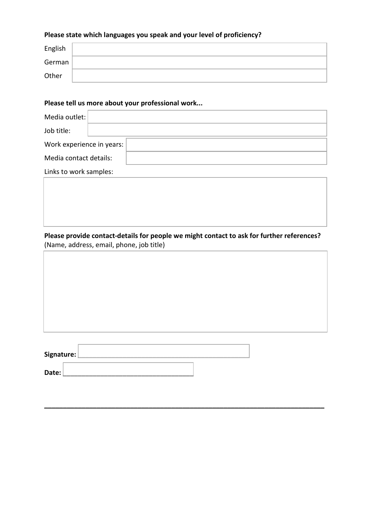# **Please state which languages you speak and your level of proficiency?**

| English |  |
|---------|--|
| German  |  |
| Other   |  |

#### **Please tell us more about your professional work...**

| Media outlet:             |  |
|---------------------------|--|
| Job title:                |  |
| Work experience in years: |  |
| Media contact details:    |  |

Links to work samples:

**Please provide contact-details for people we might contact to ask for further references?** (Name, address, email, phone, job title)

**\_\_\_\_\_\_\_\_\_\_\_\_\_\_\_\_\_\_\_\_\_\_\_\_\_\_\_\_\_\_\_\_\_\_\_\_\_\_\_\_\_\_\_\_\_\_\_\_\_\_\_\_\_\_\_\_\_\_\_\_\_\_\_\_\_\_\_\_\_\_\_\_\_\_\_**

| Signature: |  |
|------------|--|
| Date:      |  |